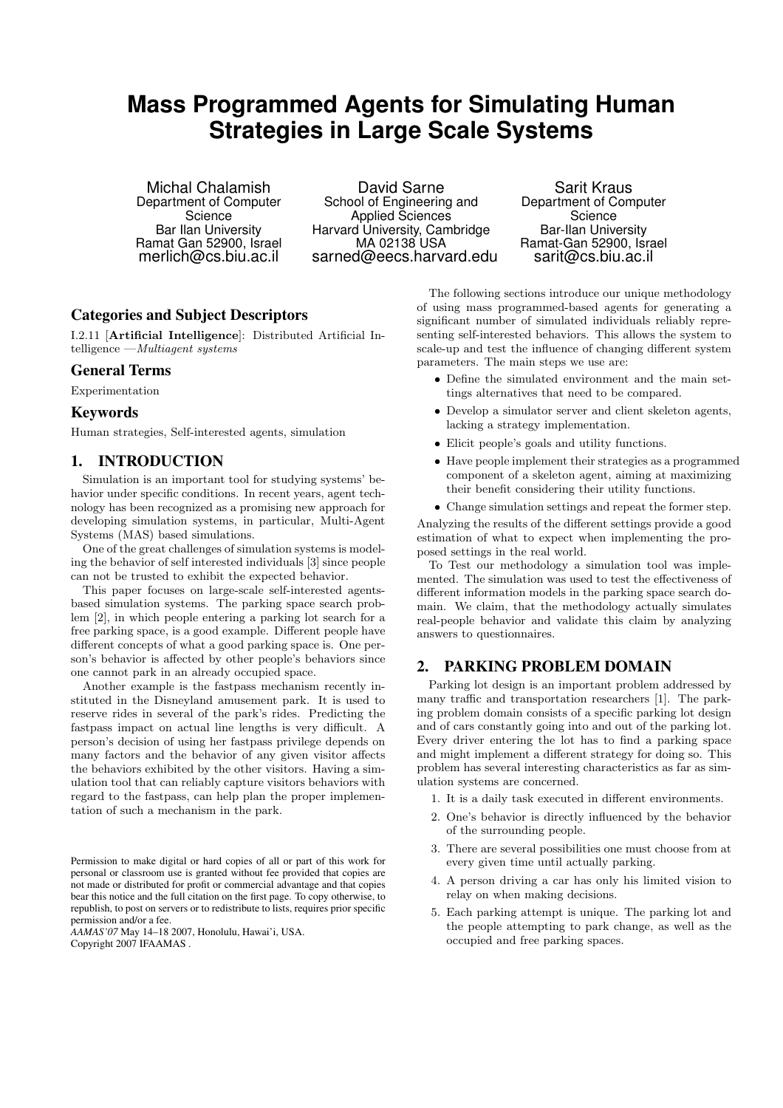# **Mass Programmed Agents for Simulating Human Strategies in Large Scale Systems**

Michal Chalamish Department of Computer **Science** Bar Ilan University Ramat Gan 52900, Israel merlich@cs.biu.ac.il

David Sarne School of Engineering and Applied Sciences Harvard University, Cambridge MA 02138 USA sarned@eecs.harvard.edu

Sarit Kraus Department of Computer Science Bar-Ilan University Ramat-Gan 52900, Israel sarit@cs.biu.ac.il

# Categories and Subject Descriptors

I.2.11 [Artificial Intelligence]: Distributed Artificial Intelligence —Multiagent systems

#### General Terms

Experimentation

#### Keywords

Human strategies, Self-interested agents, simulation

# 1. INTRODUCTION

Simulation is an important tool for studying systems' behavior under specific conditions. In recent years, agent technology has been recognized as a promising new approach for developing simulation systems, in particular, Multi-Agent Systems (MAS) based simulations.

One of the great challenges of simulation systems is modeling the behavior of self interested individuals [3] since people can not be trusted to exhibit the expected behavior.

This paper focuses on large-scale self-interested agentsbased simulation systems. The parking space search problem [2], in which people entering a parking lot search for a free parking space, is a good example. Different people have different concepts of what a good parking space is. One person's behavior is affected by other people's behaviors since one cannot park in an already occupied space.

Another example is the fastpass mechanism recently instituted in the Disneyland amusement park. It is used to reserve rides in several of the park's rides. Predicting the fastpass impact on actual line lengths is very difficult. A person's decision of using her fastpass privilege depends on many factors and the behavior of any given visitor affects the behaviors exhibited by the other visitors. Having a simulation tool that can reliably capture visitors behaviors with regard to the fastpass, can help plan the proper implementation of such a mechanism in the park.

Permission to make digital or hard copies of all or part of this work for personal or classroom use is granted without fee provided that copies are not made or distributed for profit or commercial advantage and that copies bear this notice and the full citation on the first page. To copy otherwise, to republish, to post on servers or to redistribute to lists, requires prior specific permission and/or a fee.

*AAMAS'07* May 14–18 2007, Honolulu, Hawai'i, USA. Copyright 2007 IFAAMAS .

The following sections introduce our unique methodology of using mass programmed-based agents for generating a significant number of simulated individuals reliably representing self-interested behaviors. This allows the system to scale-up and test the influence of changing different system parameters. The main steps we use are:

- Define the simulated environment and the main settings alternatives that need to be compared.
- Develop a simulator server and client skeleton agents, lacking a strategy implementation.
- Elicit people's goals and utility functions.
- Have people implement their strategies as a programmed component of a skeleton agent, aiming at maximizing their benefit considering their utility functions.
- Change simulation settings and repeat the former step.

Analyzing the results of the different settings provide a good estimation of what to expect when implementing the proposed settings in the real world.

To Test our methodology a simulation tool was implemented. The simulation was used to test the effectiveness of different information models in the parking space search domain. We claim, that the methodology actually simulates real-people behavior and validate this claim by analyzing answers to questionnaires.

### 2. PARKING PROBLEM DOMAIN

Parking lot design is an important problem addressed by many traffic and transportation researchers [1]. The parking problem domain consists of a specific parking lot design and of cars constantly going into and out of the parking lot. Every driver entering the lot has to find a parking space and might implement a different strategy for doing so. This problem has several interesting characteristics as far as simulation systems are concerned.

- 1. It is a daily task executed in different environments.
- 2. One's behavior is directly influenced by the behavior of the surrounding people.
- 3. There are several possibilities one must choose from at every given time until actually parking.
- 4. A person driving a car has only his limited vision to relay on when making decisions.
- 5. Each parking attempt is unique. The parking lot and the people attempting to park change, as well as the occupied and free parking spaces.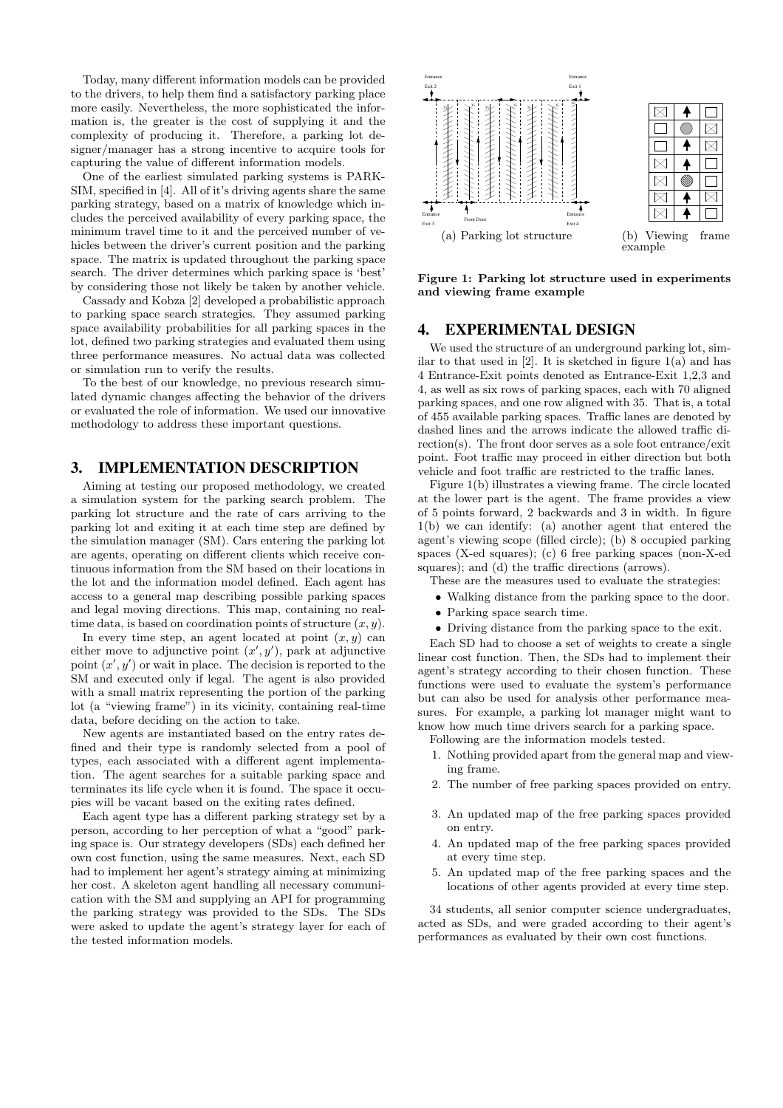Today, many different information models can be provided to the drivers, to help them find a satisfactory parking place more easily. Nevertheless, the more sophisticated the information is, the greater is the cost of supplying it and the complexity of producing it. Therefore, a parking lot designer/manager has a strong incentive to acquire tools for capturing the value of different information models.

One of the earliest simulated parking systems is PARK-SIM, specified in [4]. All of it's driving agents share the same parking strategy, based on a matrix of knowledge which includes the perceived availability of every parking space, the minimum travel time to it and the perceived number of vehicles between the driver's current position and the parking space. The matrix is updated throughout the parking space search. The driver determines which parking space is 'best' by considering those not likely be taken by another vehicle.

Cassady and Kobza [2] developed a probabilistic approach to parking space search strategies. They assumed parking space availability probabilities for all parking spaces in the lot, defined two parking strategies and evaluated them using three performance measures. No actual data was collected or simulation run to verify the results.

To the best of our knowledge, no previous research simulated dynamic changes affecting the behavior of the drivers or evaluated the role of information. We used our innovative methodology to address these important questions.

# 3. IMPLEMENTATION DESCRIPTION

Aiming at testing our proposed methodology, we created a simulation system for the parking search problem. The parking lot structure and the rate of cars arriving to the parking lot and exiting it at each time step are defined by the simulation manager (SM). Cars entering the parking lot are agents, operating on different clients which receive continuous information from the SM based on their locations in the lot and the information model defined. Each agent has access to a general map describing possible parking spaces and legal moving directions. This map, containing no realtime data, is based on coordination points of structure  $(x, y)$ .

In every time step, an agent located at point  $(x, y)$  can either move to adjunctive point  $(x', y')$ , park at adjunctive point  $(x', y')$  or wait in place. The decision is reported to the SM and executed only if legal. The agent is also provided with a small matrix representing the portion of the parking lot (a "viewing frame") in its vicinity, containing real-time data, before deciding on the action to take.

New agents are instantiated based on the entry rates defined and their type is randomly selected from a pool of types, each associated with a different agent implementation. The agent searches for a suitable parking space and terminates its life cycle when it is found. The space it occupies will be vacant based on the exiting rates defined.

Each agent type has a different parking strategy set by a person, according to her perception of what a "good" parking space is. Our strategy developers (SDs) each defined her own cost function, using the same measures. Next, each SD had to implement her agent's strategy aiming at minimizing her cost. A skeleton agent handling all necessary communication with the SM and supplying an API for programming the parking strategy was provided to the SDs. The SDs were asked to update the agent's strategy layer for each of the tested information models.



Figure 1: Parking lot structure used in experiments and viewing frame example

#### 4. EXPERIMENTAL DESIGN

We used the structure of an underground parking lot, similar to that used in  $[2]$ . It is sketched in figure  $1(a)$  and has 4 Entrance-Exit points denoted as Entrance-Exit 1,2,3 and 4, as well as six rows of parking spaces, each with 70 aligned parking spaces, and one row aligned with 35. That is, a total of 455 available parking spaces. Traffic lanes are denoted by dashed lines and the arrows indicate the allowed traffic direction(s). The front door serves as a sole foot entrance/exit point. Foot traffic may proceed in either direction but both vehicle and foot traffic are restricted to the traffic lanes.

Figure 1(b) illustrates a viewing frame. The circle located at the lower part is the agent. The frame provides a view of 5 points forward, 2 backwards and 3 in width. In figure 1(b) we can identify: (a) another agent that entered the agent's viewing scope (filled circle); (b) 8 occupied parking spaces (X-ed squares); (c) 6 free parking spaces (non-X-ed squares); and (d) the traffic directions (arrows).

These are the measures used to evaluate the strategies:

- Walking distance from the parking space to the door.
- Parking space search time.
- Driving distance from the parking space to the exit.

Each SD had to choose a set of weights to create a single linear cost function. Then, the SDs had to implement their agent's strategy according to their chosen function. These functions were used to evaluate the system's performance but can also be used for analysis other performance measures. For example, a parking lot manager might want to know how much time drivers search for a parking space.

- Following are the information models tested.
- 1. Nothing provided apart from the general map and viewing frame.
- 2. The number of free parking spaces provided on entry.
- 3. An updated map of the free parking spaces provided on entry.
- 4. An updated map of the free parking spaces provided at every time step.
- 5. An updated map of the free parking spaces and the locations of other agents provided at every time step.

34 students, all senior computer science undergraduates, acted as SDs, and were graded according to their agent's performances as evaluated by their own cost functions.